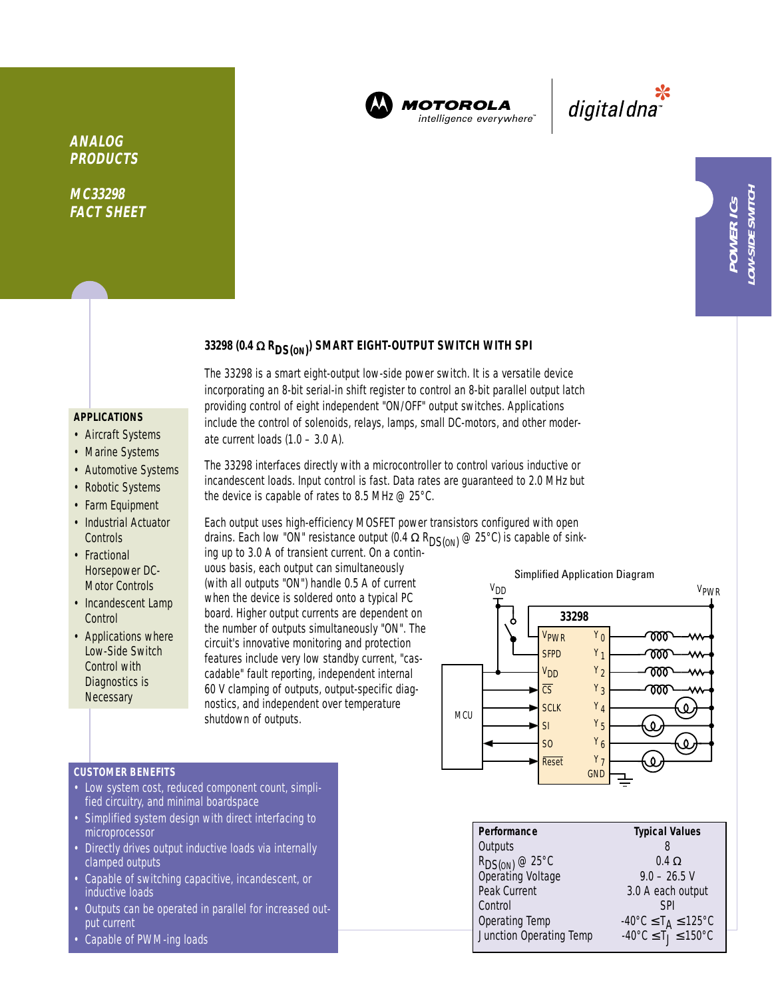

**MOTOROLA** intelligence everywhere

\*<br>"digital dna

**LOW-SIDE SWITCH**

**OW-SIDE SWITCH** 

**33298 (0.4** <sup>Ω</sup> **RDS(ON) ) SMART EIGHT-OUTPUT SWITCH WITH SPI**

The 33298 is a smart eight-output low-side power switch. It is a versatile device incorporating an 8-bit serial-in shift register to control an 8-bit parallel output latch providing control of eight independent "ON/OFF" output switches. Applications include the control of solenoids, relays, lamps, small DC-motors, and other moder-

# **APPLICATIONS**

**ANALOG PRODUCTS**

**MC33298 FACT SHEET**

- Aircraft Systems
- Marine Systems
- Automotive Systems
- Robotic Systems
- Farm Equipment
- Industrial Actuator **Controls**
- Fractional Horsepower DC-Motor Controls
- Incandescent Lamp **Control**
- Applications where Low-Side Switch Control with Diagnostics is **Necessary**

The 33298 interfaces directly with a microcontroller to control various inductive or incandescent loads. Input control is fast. Data rates are guaranteed to 2.0 MHz but the device is capable of rates to 8.5 MHz @ 25°C.

Each output uses high-efficiency MOSFET power transistors configured with open drains. Each low "ON" resistance output (0.4  $\Omega$  R<sub>DS(ON)</sub> @ 25°C) is capable of sink-

ing up to 3.0 A of transient current. On a continuous basis, each output can simultaneously (with all outputs "ON") handle 0.5 A of current when the device is soldered onto a typical PC board. Higher output currents are dependent on the number of outputs simultaneously "ON". The circuit's innovative monitoring and protection features include very low standby current, "cascadable" fault reporting, independent internal 60 V clamping of outputs, output-specific diagnostics, and independent over temperature shutdown of outputs.

ate current loads  $(1.0 - 3.0 \text{ A})$ .



## **CUSTOMER BENEFITS**

- Low system cost, reduced component count, simplified circuitry, and minimal boardspace
- Simplified system design with direct interfacing to microprocessor
- Directly drives output inductive loads via internally clamped outputs
- Capable of switching capacitive, incandescent, or inductive loads
- Outputs can be operated in parallel for increased output current
- Capable of PWM-ing loads

# **Performance Typical Values** Outputs 8  $R_{DS(ON)} @ 25^{\circ}$ C 0.4 Ω<br>Operating Voltage 9.0 – 26.5 V Operating Voltage Peak Current 3.0 A each output Control SPI Operating Temp  $-40^{\circ}C \le T_A \le 125^{\circ}C$ <br>Junction Operating Temp  $-40^{\circ}C \le T_J \le 150^{\circ}C$ Junction Operating Temp